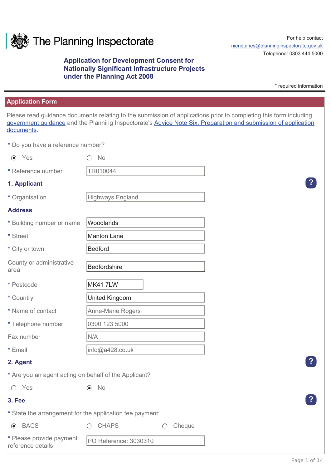

# **Application for Development Consent for Nationally Significant Infrastructure Projects under the Planning Act 2008**

For help contact nienquiries@planninginspectorate.gov.uk Telephone: 0303 444 5000

\* required information

### **Application Form**

Please read guidance documents relating to the submission of applications prior to completing this form including government guidance and the Planning Inspectorate's Advice Note Six: Preparation and submission of application documents.

**\*** Do you have a reference number?

| $\odot$<br>Yes                                        | <b>No</b>                                                                             |
|-------------------------------------------------------|---------------------------------------------------------------------------------------|
| * Reference number                                    | TR010044                                                                              |
| 1. Applicant                                          |                                                                                       |
| * Organisation                                        | Highways England                                                                      |
| <b>Address</b>                                        |                                                                                       |
| * Building number or name                             | Woodlands                                                                             |
| * Street                                              | Manton Lane                                                                           |
| * City or town                                        | Bedford                                                                               |
| County or administrative<br>area                      | Bedfordshire                                                                          |
| * Postcode                                            | MK417LW                                                                               |
| * Country                                             | <b>United Kingdom</b>                                                                 |
| * Name of contact                                     | Anne-Marie Rogers                                                                     |
| * Telephone number                                    | 0300 123 5000                                                                         |
| Fax number                                            | N/A                                                                                   |
| * Email                                               | info@a428.co.uk                                                                       |
| 2. Agent                                              |                                                                                       |
| * Are you an agent acting on behalf of the Applicant? |                                                                                       |
| Yes<br>$\bigcirc$                                     | No<br>$\odot$                                                                         |
| 3. Fee                                                |                                                                                       |
|                                                       | * State the arrangement for the application fee payment:                              |
| <b>BACS</b><br>$\odot$                                | <b>CHAPS</b><br>Cheque<br>$\bigcirc$<br>$\left( \begin{array}{c} \end{array} \right)$ |
| * Please provide payment<br>reference details         | PO Reference: 3030310                                                                 |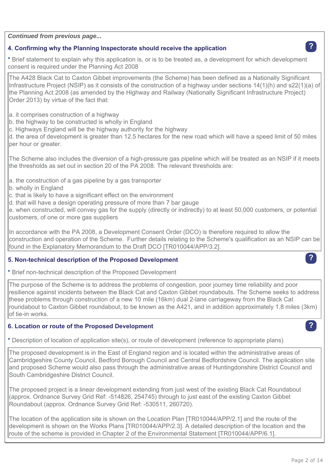*Continued from previous page...*

## **4. Confirming why the Planning Inspectorate should receive the application ?**

**\*** Brief statement to explain why this application is, or is to be treated as, a development for which development consent is required under the Planning Act 2008

The A428 Black Cat to Caxton Gibbet improvements (the Scheme) has been defined as a Nationally Significant Infrastructure Project (NSIP) as it consists of the construction of a highway under sections 14(1)(h) and s22(1)(a) of the Planning Act 2008 (as amended by the Highway and Railway (Nationally Significant Infrastructure Project) Order 2013) by virtue of the fact that:

- a. it comprises construction of a highway
- b. the highway to be constructed is wholly in England
- c. Highways England will be the highway authority for the highway

d. the area of development is greater than 12.5 hectares for the new road which will have a speed limit of 50 miles per hour or greater.

The Scheme also includes the diversion of a high-pressure gas pipeline which will be treated as an NSIP if it meets the thresholds as set out in section 20 of the PA 2008. The relevant thresholds are:

- a. the construction of a gas pipeline by a gas transporter
- b. wholly in England
- c. that is likely to have a significant effect on the environment
- d. that will have a design operating pressure of more than 7 bar gauge

e. when constructed, will convey gas for the supply (directly or indirectly) to at least 50,000 customers, or potential customers, of one or more gas suppliers

In accordance with the PA 2008, a Development Consent Order (DCO) is therefore required to allow the construction and operation of the Scheme. Further details relating to the Scheme's qualification as an NSIP can be found in the Explanatory Memorandum to the Draft DCO [TR010044/APP/3.2].

## **5. Non-technical description of the Proposed Development ?**

**\*** Brief non-technical description of the Proposed Development

The purpose of the Scheme is to address the problems of congestion, poor journey time reliability and poor resilience against incidents between the Black Cat and Caxton Gibbet roundabouts. The Scheme seeks to address these problems through construction of a new 10 mile (16km) dual 2-lane carriageway from the Black Cat roundabout to Caxton Gibbet roundabout, to be known as the A421, and in addition approximately 1.8 miles (3km) of tie-in works.

# **6. Location or route of the Proposed Development ?**

**\*** Description of location of application site(s), or route of development (reference to appropriate plans)

The proposed development is in the East of England region and is located within the administrative areas of Cambridgeshire County Council, Bedford Borough Council and Central Bedfordshire Council. The application site and proposed Scheme would also pass through the administrative areas of Huntingdonshire District Council and South Cambridgeshire District Council.

The proposed project is a linear development extending from just west of the existing Black Cat Roundabout (approx. Ordnance Survey Grid Ref: -514826, 254745) through to just east of the existing Caxton Gibbet Roundabout (approx. Ordnance Survey Grid Ref: -530511, 260720).

The location of the application site is shown on the Location Plan [TR010044/APP/2.1] and the route of the development is shown on the Works Plans [TR010044/APP/2.3]. A detailed description of the location and the route of the scheme is provided in Chapter 2 of the Environmental Statement [TR010044/APP/6.1].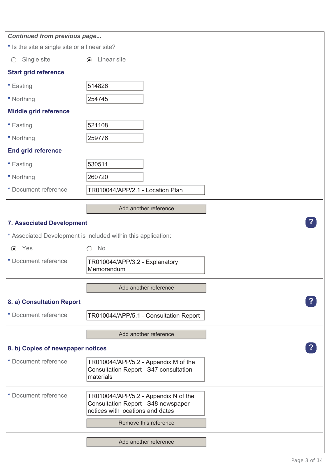| <b>Continued from previous page</b>           |                                                                                             |  |
|-----------------------------------------------|---------------------------------------------------------------------------------------------|--|
| * Is the site a single site or a linear site? |                                                                                             |  |
| Single site<br>$\bigcirc$                     | $\odot$ Linear site                                                                         |  |
| <b>Start grid reference</b>                   |                                                                                             |  |
| * Easting                                     | 514826                                                                                      |  |
| * Northing                                    | 254745                                                                                      |  |
| <b>Middle grid reference</b>                  |                                                                                             |  |
| * Easting                                     | 521108                                                                                      |  |
| * Northing                                    | 259776                                                                                      |  |
| <b>End grid reference</b>                     |                                                                                             |  |
| * Easting                                     | 530511                                                                                      |  |
| * Northing                                    | 260720                                                                                      |  |
| * Document reference                          | TR010044/APP/2.1 - Location Plan                                                            |  |
|                                               | Add another reference                                                                       |  |
|                                               |                                                                                             |  |
| <b>7. Associated Development</b>              |                                                                                             |  |
|                                               | * Associated Development is included within this application:                               |  |
| $\odot$ Yes                                   | No<br>∩                                                                                     |  |
| * Document reference                          | TR010044/APP/3.2 - Explanatory<br>Memorandum                                                |  |
|                                               | Add another reference                                                                       |  |
| 8. a) Consultation Report                     |                                                                                             |  |
| * Document reference                          | TR010044/APP/5.1 - Consultation Report                                                      |  |
|                                               | Add another reference                                                                       |  |
| 8. b) Copies of newspaper notices             |                                                                                             |  |
|                                               |                                                                                             |  |
| * Document reference                          | TR010044/APP/5.2 - Appendix M of the<br>Consultation Report - S47 consultation<br>materials |  |
| * Document reference                          | TR010044/APP/5.2 - Appendix N of the                                                        |  |
|                                               | Consultation Report - S48 newspaper<br>notices with locations and dates                     |  |
|                                               | Remove this reference                                                                       |  |
|                                               |                                                                                             |  |
|                                               | Add another reference                                                                       |  |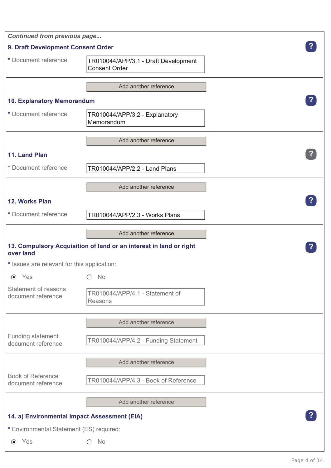| <b>Continued from previous page</b>            |                                                                    |  |
|------------------------------------------------|--------------------------------------------------------------------|--|
| 9. Draft Development Consent Order             |                                                                    |  |
| * Document reference                           | TR010044/APP/3.1 - Draft Development<br>Consent Order              |  |
|                                                | Add another reference                                              |  |
| 10. Explanatory Memorandum                     |                                                                    |  |
| * Document reference                           | TR010044/APP/3.2 - Explanatory<br>Memorandum                       |  |
|                                                | Add another reference                                              |  |
| 11. Land Plan                                  |                                                                    |  |
| * Document reference                           | TR010044/APP/2.2 - Land Plans                                      |  |
|                                                | Add another reference                                              |  |
| 12. Works Plan                                 |                                                                    |  |
| * Document reference                           | TR010044/APP/2.3 - Works Plans                                     |  |
|                                                | Add another reference                                              |  |
| over land                                      | 13. Compulsory Acquisition of land or an interest in land or right |  |
| * Issues are relevant for this application:    |                                                                    |  |
| $\odot$ Yes                                    | No                                                                 |  |
| Statement of reasons<br>document reference     | TR010044/APP/4.1 - Statement of<br>Reasons                         |  |
|                                                | Add another reference                                              |  |
| Funding statement<br>document reference        | TR010044/APP/4.2 - Funding Statement                               |  |
|                                                | Add another reference                                              |  |
| <b>Book of Reference</b><br>document reference | TR010044/APP/4.3 - Book of Reference                               |  |
|                                                | Add another reference                                              |  |
| 14. a) Environmental Impact Assessment (EIA)   |                                                                    |  |
| * Environmental Statement (ES) required:       |                                                                    |  |
| Yes<br>$\odot$                                 | No<br>$\left( \begin{array}{c} \end{array} \right)$                |  |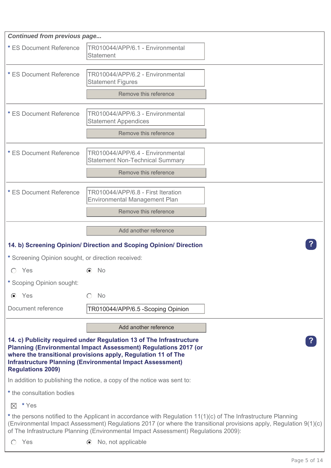| <b>Continued from previous page</b>                                                                                                                                                                                                                                                                                        |                                                                            |  |
|----------------------------------------------------------------------------------------------------------------------------------------------------------------------------------------------------------------------------------------------------------------------------------------------------------------------------|----------------------------------------------------------------------------|--|
| * ES Document Reference                                                                                                                                                                                                                                                                                                    | TR010044/APP/6.1 - Environmental<br><b>Statement</b>                       |  |
| * ES Document Reference                                                                                                                                                                                                                                                                                                    | TR010044/APP/6.2 - Environmental<br><b>Statement Figures</b>               |  |
|                                                                                                                                                                                                                                                                                                                            | Remove this reference                                                      |  |
| * ES Document Reference                                                                                                                                                                                                                                                                                                    | TR010044/APP/6.3 - Environmental<br><b>Statement Appendices</b>            |  |
|                                                                                                                                                                                                                                                                                                                            | Remove this reference                                                      |  |
| * ES Document Reference                                                                                                                                                                                                                                                                                                    | TR010044/APP/6.4 - Environmental<br><b>Statement Non-Technical Summary</b> |  |
|                                                                                                                                                                                                                                                                                                                            | Remove this reference                                                      |  |
| * ES Document Reference                                                                                                                                                                                                                                                                                                    | TR010044/APP/6.8 - First Iteration<br><b>Environmental Management Plan</b> |  |
|                                                                                                                                                                                                                                                                                                                            | Remove this reference                                                      |  |
|                                                                                                                                                                                                                                                                                                                            | Add another reference                                                      |  |
|                                                                                                                                                                                                                                                                                                                            | 14. b) Screening Opinion/ Direction and Scoping Opinion/ Direction         |  |
| * Screening Opinion sought, or direction received:                                                                                                                                                                                                                                                                         |                                                                            |  |
| Yes                                                                                                                                                                                                                                                                                                                        | No.                                                                        |  |
| * Scoping Opinion sought:                                                                                                                                                                                                                                                                                                  |                                                                            |  |
| Yes<br>$\odot$                                                                                                                                                                                                                                                                                                             | <b>No</b><br>◯                                                             |  |
| Document reference                                                                                                                                                                                                                                                                                                         | TR010044/APP/6.5 -Scoping Opinion                                          |  |
|                                                                                                                                                                                                                                                                                                                            | Add another reference                                                      |  |
| 14. c) Publicity required under Regulation 13 of The Infrastructure<br>Planning (Environmental Impact Assessment) Regulations 2017 (or<br>where the transitional provisions apply, Regulation 11 of The<br><b>Infrastructure Planning (Environmental Impact Assessment)</b><br><b>Regulations 2009)</b>                    |                                                                            |  |
| In addition to publishing the notice, a copy of the notice was sent to:                                                                                                                                                                                                                                                    |                                                                            |  |
| * the consultation bodies                                                                                                                                                                                                                                                                                                  |                                                                            |  |
| * Yes<br>$\boxtimes$                                                                                                                                                                                                                                                                                                       |                                                                            |  |
| * the persons notified to the Applicant in accordance with Regulation 11(1)(c) of The Infrastructure Planning<br>(Environmental Impact Assessment) Regulations 2017 (or where the transitional provisions apply, Regulation 9(1)(c)<br>of The Infrastructure Planning (Environmental Impact Assessment) Regulations 2009): |                                                                            |  |
| Yes<br>$\bigcap$                                                                                                                                                                                                                                                                                                           | No, not applicable<br>$\left( \bullet \right)$                             |  |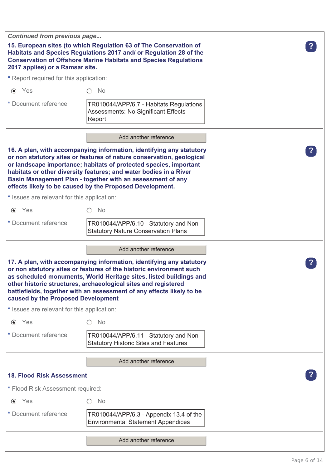| Continued from previous page                |                                                                                                                                                                                                                                                                                                                                                                                                                   |  |
|---------------------------------------------|-------------------------------------------------------------------------------------------------------------------------------------------------------------------------------------------------------------------------------------------------------------------------------------------------------------------------------------------------------------------------------------------------------------------|--|
| 2017 applies) or a Ramsar site.             | 15. European sites (to which Regulation 63 of The Conservation of<br>Habitats and Species Regulations 2017 and/ or Regulation 28 of the<br><b>Conservation of Offshore Marine Habitats and Species Regulations</b>                                                                                                                                                                                                |  |
| * Report required for this application:     |                                                                                                                                                                                                                                                                                                                                                                                                                   |  |
| $\odot$ Yes                                 | $\bigcap$ No                                                                                                                                                                                                                                                                                                                                                                                                      |  |
| * Document reference                        | TR010044/APP/6.7 - Habitats Regulations<br>Assessments: No Significant Effects<br>Report                                                                                                                                                                                                                                                                                                                          |  |
|                                             | Add another reference                                                                                                                                                                                                                                                                                                                                                                                             |  |
|                                             | 16. A plan, with accompanying information, identifying any statutory<br>or non statutory sites or features of nature conservation, geological<br>or landscape importance; habitats of protected species, important<br>habitats or other diversity features; and water bodies in a River<br>Basin Management Plan - together with an assessment of any<br>effects likely to be caused by the Proposed Development. |  |
| * Issues are relevant for this application: |                                                                                                                                                                                                                                                                                                                                                                                                                   |  |
| $\odot$ Yes                                 | No                                                                                                                                                                                                                                                                                                                                                                                                                |  |
| * Document reference                        | TR010044/APP/6.10 - Statutory and Non-<br><b>Statutory Nature Conservation Plans</b>                                                                                                                                                                                                                                                                                                                              |  |
|                                             |                                                                                                                                                                                                                                                                                                                                                                                                                   |  |
|                                             | Add another reference                                                                                                                                                                                                                                                                                                                                                                                             |  |
| caused by the Proposed Development          | 17. A plan, with accompanying information, identifying any statutory<br>or non statutory sites or features of the historic environment such<br>as scheduled monuments, World Heritage sites, listed buildings and<br>other historic structures, archaeological sites and registered<br>battlefields, together with an assessment of any effects likely to be                                                      |  |
| * Issues are relevant for this application: |                                                                                                                                                                                                                                                                                                                                                                                                                   |  |
| $\odot$ Yes                                 | <b>No</b><br>∩                                                                                                                                                                                                                                                                                                                                                                                                    |  |
| * Document reference                        | TR010044/APP/6.11 - Statutory and Non-<br><b>Statutory Historic Sites and Features</b>                                                                                                                                                                                                                                                                                                                            |  |
|                                             | Add another reference                                                                                                                                                                                                                                                                                                                                                                                             |  |
| <b>18. Flood Risk Assessment</b>            |                                                                                                                                                                                                                                                                                                                                                                                                                   |  |
| * Flood Risk Assessment required:           |                                                                                                                                                                                                                                                                                                                                                                                                                   |  |
| Yes<br>$\odot$                              | No<br>$\bigcirc$                                                                                                                                                                                                                                                                                                                                                                                                  |  |
| * Document reference                        | TR010044/APP/6.3 - Appendix 13.4 of the<br><b>Environmental Statement Appendices</b>                                                                                                                                                                                                                                                                                                                              |  |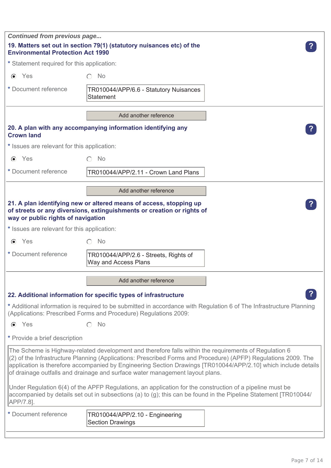| <b>Continued from previous page</b>                                                                               |                                                                                                                                                                                                                                                                                                                                                                                                                           |  |
|-------------------------------------------------------------------------------------------------------------------|---------------------------------------------------------------------------------------------------------------------------------------------------------------------------------------------------------------------------------------------------------------------------------------------------------------------------------------------------------------------------------------------------------------------------|--|
| 19. Matters set out in section 79(1) (statutory nuisances etc) of the<br><b>Environmental Protection Act 1990</b> |                                                                                                                                                                                                                                                                                                                                                                                                                           |  |
| * Statement required for this application:                                                                        |                                                                                                                                                                                                                                                                                                                                                                                                                           |  |
| $\odot$ Yes                                                                                                       | No<br>∩                                                                                                                                                                                                                                                                                                                                                                                                                   |  |
| * Document reference                                                                                              | TR010044/APP/6.6 - Statutory Nuisances<br><b>Statement</b>                                                                                                                                                                                                                                                                                                                                                                |  |
|                                                                                                                   | Add another reference                                                                                                                                                                                                                                                                                                                                                                                                     |  |
| <b>Crown land</b>                                                                                                 | 20. A plan with any accompanying information identifying any                                                                                                                                                                                                                                                                                                                                                              |  |
| * Issues are relevant for this application:                                                                       |                                                                                                                                                                                                                                                                                                                                                                                                                           |  |
| $\odot$ Yes                                                                                                       | No                                                                                                                                                                                                                                                                                                                                                                                                                        |  |
| * Document reference                                                                                              | TR010044/APP/2.11 - Crown Land Plans                                                                                                                                                                                                                                                                                                                                                                                      |  |
|                                                                                                                   | Add another reference                                                                                                                                                                                                                                                                                                                                                                                                     |  |
| way or public rights of navigation                                                                                | 21. A plan identifying new or altered means of access, stopping up<br>of streets or any diversions, extinguishments or creation or rights of                                                                                                                                                                                                                                                                              |  |
| * Issues are relevant for this application:                                                                       |                                                                                                                                                                                                                                                                                                                                                                                                                           |  |
| Yes<br>$\odot$                                                                                                    | <b>No</b><br>$\bigcap$                                                                                                                                                                                                                                                                                                                                                                                                    |  |
| * Document reference                                                                                              | TR010044/APP/2.6 - Streets, Rights of<br>Way and Access Plans                                                                                                                                                                                                                                                                                                                                                             |  |
|                                                                                                                   | Add another reference                                                                                                                                                                                                                                                                                                                                                                                                     |  |
|                                                                                                                   | 22. Additional information for specific types of infrastructure                                                                                                                                                                                                                                                                                                                                                           |  |
|                                                                                                                   | * Additional information is required to be submitted in accordance with Regulation 6 of The Infrastructure Planning<br>(Applications: Prescribed Forms and Procedure) Regulations 2009:                                                                                                                                                                                                                                   |  |
| $\odot$ Yes                                                                                                       | <b>No</b>                                                                                                                                                                                                                                                                                                                                                                                                                 |  |
| * Provide a brief description                                                                                     |                                                                                                                                                                                                                                                                                                                                                                                                                           |  |
|                                                                                                                   | The Scheme is Highway-related development and therefore falls within the requirements of Regulation 6<br>(2) of the Infrastructure Planning (Applications: Prescribed Forms and Procedure) (APFP) Regulations 2009. The<br>application is therefore accompanied by Engineering Section Drawings [TR010044/APP/2.10] which include details<br>of drainage outfalls and drainage and surface water management layout plans. |  |
| APP/7.8].                                                                                                         | Under Regulation 6(4) of the APFP Regulations, an application for the construction of a pipeline must be<br>accompanied by details set out in subsections (a) to (g); this can be found in the Pipeline Statement [TR010044/                                                                                                                                                                                              |  |
| * Document reference                                                                                              | TR010044/APP/2.10 - Engineering<br><b>Section Drawings</b>                                                                                                                                                                                                                                                                                                                                                                |  |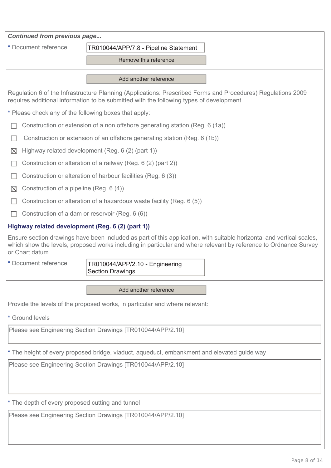| Continued from previous page                                                                                                                                                                                                                                |                                                                                                                                                                                                          |  |  |
|-------------------------------------------------------------------------------------------------------------------------------------------------------------------------------------------------------------------------------------------------------------|----------------------------------------------------------------------------------------------------------------------------------------------------------------------------------------------------------|--|--|
| * Document reference                                                                                                                                                                                                                                        | TR010044/APP/7.8 - Pipeline Statement                                                                                                                                                                    |  |  |
|                                                                                                                                                                                                                                                             | Remove this reference                                                                                                                                                                                    |  |  |
|                                                                                                                                                                                                                                                             | Add another reference                                                                                                                                                                                    |  |  |
|                                                                                                                                                                                                                                                             | Regulation 6 of the Infrastructure Planning (Applications: Prescribed Forms and Procedures) Regulations 2009<br>requires additional information to be submitted with the following types of development. |  |  |
| * Please check any of the following boxes that apply:                                                                                                                                                                                                       |                                                                                                                                                                                                          |  |  |
|                                                                                                                                                                                                                                                             | Construction or extension of a non offshore generating station (Reg. 6 (1a))                                                                                                                             |  |  |
|                                                                                                                                                                                                                                                             | Construction or extension of an offshore generating station (Reg. 6 (1b))                                                                                                                                |  |  |
| $\boxtimes$                                                                                                                                                                                                                                                 | Highway related development (Reg. 6 (2) (part 1))                                                                                                                                                        |  |  |
|                                                                                                                                                                                                                                                             | Construction or alteration of a railway (Reg. 6 (2) (part 2))                                                                                                                                            |  |  |
|                                                                                                                                                                                                                                                             | Construction or alteration of harbour facilities (Reg. 6 (3))                                                                                                                                            |  |  |
| Construction of a pipeline (Reg. 6 (4))<br>$\boxtimes$                                                                                                                                                                                                      |                                                                                                                                                                                                          |  |  |
|                                                                                                                                                                                                                                                             | Construction or alteration of a hazardous waste facility (Reg. 6 (5))                                                                                                                                    |  |  |
|                                                                                                                                                                                                                                                             | Construction of a dam or reservoir (Reg. 6 (6))                                                                                                                                                          |  |  |
| Highway related development (Reg. 6 (2) (part 1))                                                                                                                                                                                                           |                                                                                                                                                                                                          |  |  |
| Ensure section drawings have been included as part of this application, with suitable horizontal and vertical scales,<br>which show the levels, proposed works including in particular and where relevant by reference to Ordnance Survey<br>or Chart datum |                                                                                                                                                                                                          |  |  |
| * Document reference                                                                                                                                                                                                                                        | TR010044/APP/2.10 - Engineering<br><b>Section Drawings</b>                                                                                                                                               |  |  |
|                                                                                                                                                                                                                                                             | Add another reference                                                                                                                                                                                    |  |  |
|                                                                                                                                                                                                                                                             | Provide the levels of the proposed works, in particular and where relevant:                                                                                                                              |  |  |
| * Ground levels                                                                                                                                                                                                                                             |                                                                                                                                                                                                          |  |  |
| Please see Engineering Section Drawings [TR010044/APP/2.10]                                                                                                                                                                                                 |                                                                                                                                                                                                          |  |  |
| * The height of every proposed bridge, viaduct, aqueduct, embankment and elevated guide way                                                                                                                                                                 |                                                                                                                                                                                                          |  |  |
| Please see Engineering Section Drawings [TR010044/APP/2.10]                                                                                                                                                                                                 |                                                                                                                                                                                                          |  |  |
|                                                                                                                                                                                                                                                             |                                                                                                                                                                                                          |  |  |
|                                                                                                                                                                                                                                                             |                                                                                                                                                                                                          |  |  |
| * The depth of every proposed cutting and tunnel                                                                                                                                                                                                            |                                                                                                                                                                                                          |  |  |
| Please see Engineering Section Drawings [TR010044/APP/2.10]                                                                                                                                                                                                 |                                                                                                                                                                                                          |  |  |
|                                                                                                                                                                                                                                                             |                                                                                                                                                                                                          |  |  |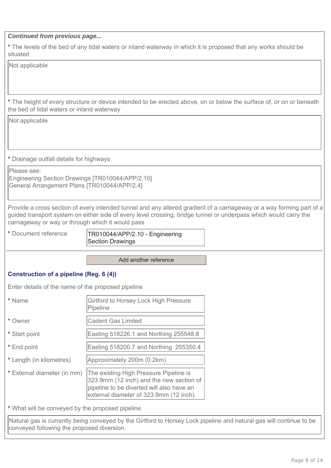**\*** The levels of the bed of any tidal waters or inland waterway in which it is proposed that any works should be situated

Not applicable

**\*** The height of every structure or device intended to be erected above, on or below the surface of, or on or beneath the bed of tidal waters or inland waterway

Not applicable

**\*** Drainage outfall details for highways

Please see: Engineering Section Drawings [TR010044/APP/2.10] General Arrangement Plans [TR010044/APP/2.4]

Provide a cross section of every intended tunnel and any altered gradient of a carriageway or a way forming part of a guided transport system on either side of every level crossing, bridge tunnel or underpass which would carry the carriageway or way or through which it would pass

**\*** Document reference TR010044/APP/2.10 - Engineering Section Drawings

Add another reference

## **Construction of a pipeline (Reg. 6 (4))**

Enter details of the name of the proposed pipeline

| * Name                      | Girtford to Horsey Lock High Pressure<br>Pipeline                                                                                                                          |
|-----------------------------|----------------------------------------------------------------------------------------------------------------------------------------------------------------------------|
| * Owner                     | <b>Cadent Gas Limited</b>                                                                                                                                                  |
| * Start point               | Easting 518226.1 and Northing 255548.8                                                                                                                                     |
| * End point                 | Easting 518200.7 and Northing 255350.4                                                                                                                                     |
| * Length (in kilometres)    | Approximately 200m (0.2km)                                                                                                                                                 |
| * External diameter (in mm) | The existing High Pressure Pipeline is<br>323.9mm (12 inch) and the new section of<br>pipeline to be diverted will also have an<br>external diameter of 323.9mm (12 inch). |

**\*** What will be conveyed by the proposed pipeline

Natural gas is currently being conveyed by the Girtford to Horsey Lock pipeline and natural gas will continue to be conveyed following the proposed diversion.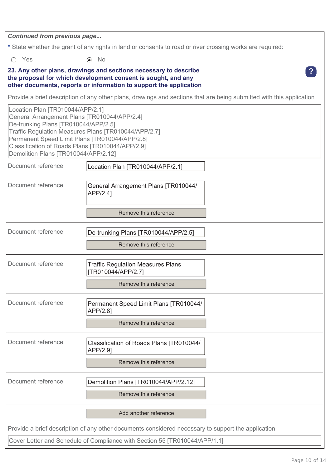**\*** State whether the grant of any rights in land or consents to road or river crossing works are required:

O Yes **(a)** No

### **23. Any other plans, drawings and sections necessary to describe the proposal for which development consent is sought, and any other documents, reports or information to support the application**

Provide a brief description of any other plans, drawings and sections that are being submitted with this application

| Location Plan [TR010044/APP/2.1]<br>General Arrangement Plans [TR010044/APP/2.4]<br>De-trunking Plans [TR010044/APP/2.5]<br>Traffic Regulation Measures Plans [TR010044/APP/2.7]<br>Permanent Speed Limit Plans [TR010044/APP/2.8]<br>Classification of Roads Plans [TR010044/APP/2.9]<br>Demolition Plans [TR010044/APP/2.12] |                                                                                         |  |
|--------------------------------------------------------------------------------------------------------------------------------------------------------------------------------------------------------------------------------------------------------------------------------------------------------------------------------|-----------------------------------------------------------------------------------------|--|
| Document reference                                                                                                                                                                                                                                                                                                             | Location Plan [TR010044/APP/2.1]                                                        |  |
| Document reference                                                                                                                                                                                                                                                                                                             | General Arrangement Plans [TR010044/<br>APP/2.4]<br>Remove this reference               |  |
| Document reference                                                                                                                                                                                                                                                                                                             | De-trunking Plans [TR010044/APP/2.5]<br>Remove this reference                           |  |
| Document reference                                                                                                                                                                                                                                                                                                             | <b>Traffic Regulation Measures Plans</b><br>[TR010044/APP/2.7]<br>Remove this reference |  |
| Document reference                                                                                                                                                                                                                                                                                                             | Permanent Speed Limit Plans [TR010044/<br>APP/2.8]<br>Remove this reference             |  |
| Document reference                                                                                                                                                                                                                                                                                                             | Classification of Roads Plans [TR010044/<br>APP/2.9]<br>Remove this reference           |  |
| Document reference                                                                                                                                                                                                                                                                                                             | Demolition Plans [TR010044/APP/2.12]<br>Remove this reference                           |  |
|                                                                                                                                                                                                                                                                                                                                | Add another reference                                                                   |  |
| Provide a brief description of any other documents considered necessary to support the application                                                                                                                                                                                                                             |                                                                                         |  |
|                                                                                                                                                                                                                                                                                                                                | Cover Letter and Schedule of Compliance with Section 55 [TR010044/APP/1.1]              |  |

**?**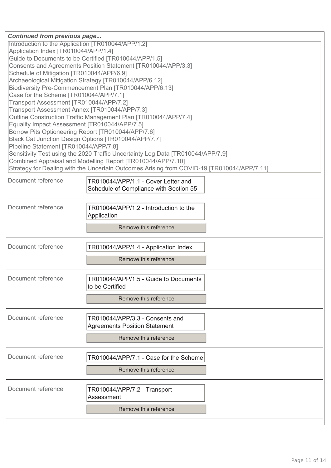| <b>Continued from previous page</b><br>Introduction to the Application [TR010044/APP/1.2]<br>Application Index [TR010044/APP/1.4]<br>Guide to Documents to be Certified [TR010044/APP/1.5]<br>Consents and Agreements Position Statement [TR010044/APP/3.3]<br>Schedule of Mitigation [TR010044/APP/6.9]<br>Archaeological Mitigation Strategy [TR010044/APP/6.12]<br>Biodiversity Pre-Commencement Plan [TR010044/APP/6.13]<br>Case for the Scheme [TR010044/APP/7.1]<br>Transport Assessment [TR010044/APP/7.2]<br>Transport Assessment Annex [TR010044/APP/7.3]<br>Outline Construction Traffic Management Plan [TR010044/APP/7.4]<br>Equality Impact Assessment [TR010044/APP/7.5]<br>Borrow Pits Optioneering Report [TR010044/APP/7.6]<br>Black Cat Junction Design Options [TR010044/APP/7.7]<br>Pipeline Statement [TR010044/APP/7.8]<br>Sensitivity Test using the 2020 Traffic Uncertainty Log Data [TR010044/APP/7.9]<br>Combined Appraisal and Modelling Report [TR010044/APP/7.10]<br>Strategy for Dealing with the Uncertain Outcomes Arising from COVID-19 [TR010044/APP/7.11] |                                                                                           |  |
|-----------------------------------------------------------------------------------------------------------------------------------------------------------------------------------------------------------------------------------------------------------------------------------------------------------------------------------------------------------------------------------------------------------------------------------------------------------------------------------------------------------------------------------------------------------------------------------------------------------------------------------------------------------------------------------------------------------------------------------------------------------------------------------------------------------------------------------------------------------------------------------------------------------------------------------------------------------------------------------------------------------------------------------------------------------------------------------------------|-------------------------------------------------------------------------------------------|--|
| Document reference                                                                                                                                                                                                                                                                                                                                                                                                                                                                                                                                                                                                                                                                                                                                                                                                                                                                                                                                                                                                                                                                            | TR010044/APP/1.1 - Cover Letter and<br>Schedule of Compliance with Section 55             |  |
| Document reference                                                                                                                                                                                                                                                                                                                                                                                                                                                                                                                                                                                                                                                                                                                                                                                                                                                                                                                                                                                                                                                                            | TR010044/APP/1.2 - Introduction to the<br>Application<br>Remove this reference            |  |
| Document reference                                                                                                                                                                                                                                                                                                                                                                                                                                                                                                                                                                                                                                                                                                                                                                                                                                                                                                                                                                                                                                                                            | TR010044/APP/1.4 - Application Index<br>Remove this reference                             |  |
| Document reference                                                                                                                                                                                                                                                                                                                                                                                                                                                                                                                                                                                                                                                                                                                                                                                                                                                                                                                                                                                                                                                                            | TR010044/APP/1.5 - Guide to Documents<br>to be Certified<br>Remove this reference         |  |
| Document reference                                                                                                                                                                                                                                                                                                                                                                                                                                                                                                                                                                                                                                                                                                                                                                                                                                                                                                                                                                                                                                                                            | TR010044/APP/3.3 - Consents and<br>Agreements Position Statement<br>Remove this reference |  |
| Document reference                                                                                                                                                                                                                                                                                                                                                                                                                                                                                                                                                                                                                                                                                                                                                                                                                                                                                                                                                                                                                                                                            | TR010044/APP/7.1 - Case for the Scheme<br>Remove this reference                           |  |
| Document reference                                                                                                                                                                                                                                                                                                                                                                                                                                                                                                                                                                                                                                                                                                                                                                                                                                                                                                                                                                                                                                                                            | TR010044/APP/7.2 - Transport<br>Assessment<br>Remove this reference                       |  |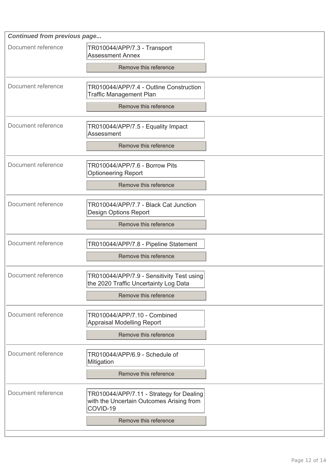| <b>Continued from previous page</b> |                                                                                                  |  |
|-------------------------------------|--------------------------------------------------------------------------------------------------|--|
| Document reference                  | TR010044/APP/7.3 - Transport<br><b>Assessment Annex</b>                                          |  |
|                                     | Remove this reference                                                                            |  |
| Document reference                  | TR010044/APP/7.4 - Outline Construction<br><b>Traffic Management Plan</b>                        |  |
|                                     | Remove this reference                                                                            |  |
| Document reference                  | TR010044/APP/7.5 - Equality Impact<br>Assessment                                                 |  |
|                                     | Remove this reference                                                                            |  |
| Document reference                  | TR010044/APP/7.6 - Borrow Pits<br><b>Optioneering Report</b>                                     |  |
|                                     | Remove this reference                                                                            |  |
| Document reference                  | TR010044/APP/7.7 - Black Cat Junction<br>Design Options Report                                   |  |
|                                     | Remove this reference                                                                            |  |
| Document reference                  | TR010044/APP/7.8 - Pipeline Statement                                                            |  |
|                                     | Remove this reference                                                                            |  |
| Document reference                  | TR010044/APP/7.9 - Sensitivity Test using<br>the 2020 Traffic Uncertainty Log Data               |  |
|                                     | Remove this reference                                                                            |  |
| Document reference                  | TR010044/APP/7.10 - Combined<br>Appraisal Modelling Report                                       |  |
|                                     | Remove this reference                                                                            |  |
| Document reference                  | TR010044/APP/6.9 - Schedule of<br>Mitigation                                                     |  |
|                                     | Remove this reference                                                                            |  |
| Document reference                  | TR010044/APP/7.11 - Strategy for Dealing<br>with the Uncertain Outcomes Arising from<br>COVID-19 |  |
|                                     | Remove this reference                                                                            |  |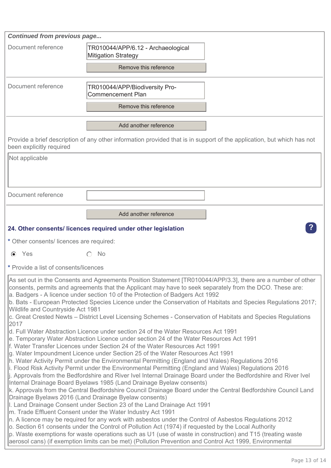| <b>Continued from previous page</b>                                                                                                                                                                                                                                                                                                                                                                                                                                                                                                                                                                                                                                                                                                                                                                                                                                                                                                                                                                                                                                                                                                                                                                                                                                                                                                               |                                                                                                                                                                                                                                                                                                                                                                                                                                                                                                                                                                                                                                                                                                                                                                      |  |
|---------------------------------------------------------------------------------------------------------------------------------------------------------------------------------------------------------------------------------------------------------------------------------------------------------------------------------------------------------------------------------------------------------------------------------------------------------------------------------------------------------------------------------------------------------------------------------------------------------------------------------------------------------------------------------------------------------------------------------------------------------------------------------------------------------------------------------------------------------------------------------------------------------------------------------------------------------------------------------------------------------------------------------------------------------------------------------------------------------------------------------------------------------------------------------------------------------------------------------------------------------------------------------------------------------------------------------------------------|----------------------------------------------------------------------------------------------------------------------------------------------------------------------------------------------------------------------------------------------------------------------------------------------------------------------------------------------------------------------------------------------------------------------------------------------------------------------------------------------------------------------------------------------------------------------------------------------------------------------------------------------------------------------------------------------------------------------------------------------------------------------|--|
| Document reference                                                                                                                                                                                                                                                                                                                                                                                                                                                                                                                                                                                                                                                                                                                                                                                                                                                                                                                                                                                                                                                                                                                                                                                                                                                                                                                                | TR010044/APP/6.12 - Archaeological<br><b>Mitigation Strategy</b>                                                                                                                                                                                                                                                                                                                                                                                                                                                                                                                                                                                                                                                                                                     |  |
|                                                                                                                                                                                                                                                                                                                                                                                                                                                                                                                                                                                                                                                                                                                                                                                                                                                                                                                                                                                                                                                                                                                                                                                                                                                                                                                                                   | Remove this reference                                                                                                                                                                                                                                                                                                                                                                                                                                                                                                                                                                                                                                                                                                                                                |  |
| Document reference                                                                                                                                                                                                                                                                                                                                                                                                                                                                                                                                                                                                                                                                                                                                                                                                                                                                                                                                                                                                                                                                                                                                                                                                                                                                                                                                | TR010044/APP/Biodiversity Pro-<br><b>Commencement Plan</b>                                                                                                                                                                                                                                                                                                                                                                                                                                                                                                                                                                                                                                                                                                           |  |
|                                                                                                                                                                                                                                                                                                                                                                                                                                                                                                                                                                                                                                                                                                                                                                                                                                                                                                                                                                                                                                                                                                                                                                                                                                                                                                                                                   | Remove this reference                                                                                                                                                                                                                                                                                                                                                                                                                                                                                                                                                                                                                                                                                                                                                |  |
|                                                                                                                                                                                                                                                                                                                                                                                                                                                                                                                                                                                                                                                                                                                                                                                                                                                                                                                                                                                                                                                                                                                                                                                                                                                                                                                                                   | Add another reference                                                                                                                                                                                                                                                                                                                                                                                                                                                                                                                                                                                                                                                                                                                                                |  |
| been explicitly required                                                                                                                                                                                                                                                                                                                                                                                                                                                                                                                                                                                                                                                                                                                                                                                                                                                                                                                                                                                                                                                                                                                                                                                                                                                                                                                          | Provide a brief description of any other information provided that is in support of the application, but which has not                                                                                                                                                                                                                                                                                                                                                                                                                                                                                                                                                                                                                                               |  |
| Not applicable                                                                                                                                                                                                                                                                                                                                                                                                                                                                                                                                                                                                                                                                                                                                                                                                                                                                                                                                                                                                                                                                                                                                                                                                                                                                                                                                    |                                                                                                                                                                                                                                                                                                                                                                                                                                                                                                                                                                                                                                                                                                                                                                      |  |
|                                                                                                                                                                                                                                                                                                                                                                                                                                                                                                                                                                                                                                                                                                                                                                                                                                                                                                                                                                                                                                                                                                                                                                                                                                                                                                                                                   |                                                                                                                                                                                                                                                                                                                                                                                                                                                                                                                                                                                                                                                                                                                                                                      |  |
| Document reference                                                                                                                                                                                                                                                                                                                                                                                                                                                                                                                                                                                                                                                                                                                                                                                                                                                                                                                                                                                                                                                                                                                                                                                                                                                                                                                                |                                                                                                                                                                                                                                                                                                                                                                                                                                                                                                                                                                                                                                                                                                                                                                      |  |
|                                                                                                                                                                                                                                                                                                                                                                                                                                                                                                                                                                                                                                                                                                                                                                                                                                                                                                                                                                                                                                                                                                                                                                                                                                                                                                                                                   | Add another reference                                                                                                                                                                                                                                                                                                                                                                                                                                                                                                                                                                                                                                                                                                                                                |  |
|                                                                                                                                                                                                                                                                                                                                                                                                                                                                                                                                                                                                                                                                                                                                                                                                                                                                                                                                                                                                                                                                                                                                                                                                                                                                                                                                                   | 24. Other consents/licences required under other legislation                                                                                                                                                                                                                                                                                                                                                                                                                                                                                                                                                                                                                                                                                                         |  |
| * Other consents/ licences are required:                                                                                                                                                                                                                                                                                                                                                                                                                                                                                                                                                                                                                                                                                                                                                                                                                                                                                                                                                                                                                                                                                                                                                                                                                                                                                                          |                                                                                                                                                                                                                                                                                                                                                                                                                                                                                                                                                                                                                                                                                                                                                                      |  |
| $\odot$ Yes                                                                                                                                                                                                                                                                                                                                                                                                                                                                                                                                                                                                                                                                                                                                                                                                                                                                                                                                                                                                                                                                                                                                                                                                                                                                                                                                       | <b>No</b>                                                                                                                                                                                                                                                                                                                                                                                                                                                                                                                                                                                                                                                                                                                                                            |  |
| * Provide a list of consents/licences                                                                                                                                                                                                                                                                                                                                                                                                                                                                                                                                                                                                                                                                                                                                                                                                                                                                                                                                                                                                                                                                                                                                                                                                                                                                                                             |                                                                                                                                                                                                                                                                                                                                                                                                                                                                                                                                                                                                                                                                                                                                                                      |  |
| As set out in the Consents and Agreements Position Statement [TR010044/APP/3.3], there are a number of other<br>consents, permits and agreements that the Applicant may have to seek separately from the DCO. These are:<br>a. Badgers - A licence under section 10 of the Protection of Badgers Act 1992<br>b. Bats - European Protected Species Licence under the Conservation of Habitats and Species Regulations 2017;<br>Wildlife and Countryside Act 1981<br>c. Great Crested Newts – District Level Licensing Schemes - Conservation of Habitats and Species Regulations<br>2017<br>d. Full Water Abstraction Licence under section 24 of the Water Resources Act 1991<br>e. Temporary Water Abstraction Licence under section 24 of the Water Resources Act 1991<br>f. Water Transfer Licences under Section 24 of the Water Resources Act 1991<br>g. Water Impoundment Licence under Section 25 of the Water Resources Act 1991<br>h. Water Activity Permit under the Environmental Permitting (England and Wales) Regulations 2016<br>i. Flood Risk Activity Permit under the Environmental Permitting (England and Wales) Regulations 2016<br>[j. Approvals from the Bedfordshire and River Ivel Internal Drainage Board under the Bedfordshire and River Ivel<br>Internal Drainage Board Byelaws 1985 (Land Drainage Byelaw consents) |                                                                                                                                                                                                                                                                                                                                                                                                                                                                                                                                                                                                                                                                                                                                                                      |  |
|                                                                                                                                                                                                                                                                                                                                                                                                                                                                                                                                                                                                                                                                                                                                                                                                                                                                                                                                                                                                                                                                                                                                                                                                                                                                                                                                                   | k. Approvals from the Central Bedfordshire Council Drainage Board under the Central Bedfordshire Council Land<br>Drainage Byelaws 2016 (Land Drainage Byelaw consents)<br>I. Land Drainage Consent under Section 23 of the Land Drainage Act 1991<br>m. Trade Effluent Consent under the Water Industry Act 1991<br>$ n$ . A licence may be required for any work with asbestos under the Control of Asbestos Regulations 2012<br>o. Section 61 consents under the Control of Pollution Act (1974) if requested by the Local Authority<br>$ p$ . Waste exemptions for waste operations such as U1 (use of waste in construction) and T15 (treating waste<br>aerosol cans) (if exemption limits can be met) (Pollution Prevention and Control Act 1999, Environmental |  |